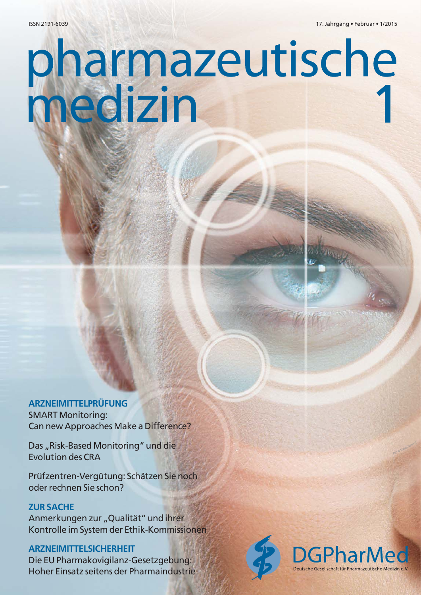# pharmazeutische<br>medizin

# **ARZNEIMITTELPRÜFUNG** SMART Monitoring: Can new Approaches Make a Difference?

Das "Risk-Based Monitoring" und die Evolution des CRA

Prüfzentren-Vergütung: Schätzen Sie noch oder rechnen Sie schon?

# **ZUR SACHE**

Anmerkungen zur "Qualität" und ihrer Kontrolle im System der Ethik-Kommissionen

# **ARZNEIMITTELSICHERHEIT**

Die EU Pharmakovigilanz-Gesetzgebung: Hoher Einsatz seitens der Pharmaindustrie





[Bild: © <sup>M</sup>aksi<sup>m</sup> <sup>S</sup>hmeljov]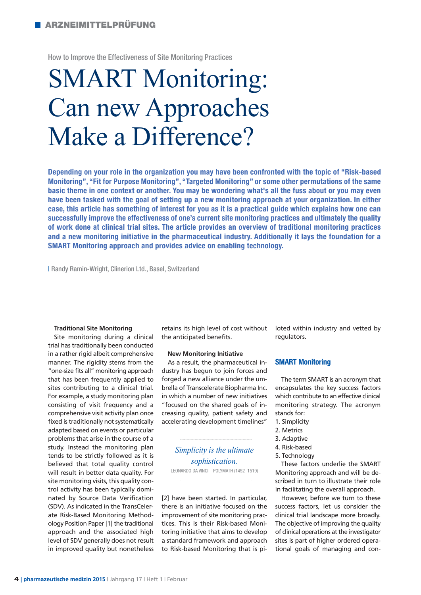How to Improve the Effectiveness of Site Monitoring Practices

# **SMART Monitoring:<br>Can new Approaches** Make a Difference?

Make a Difference? **Depending on your role in the organization you may have been confronted with the topic of "Risk-based Monitoring", "Fit for Purpose Monitoring", "Targeted Monitoring" or some other permutations of the same basic theme in one context or another. You may be wondering what's all the fuss about or you may even have been tasked with the goal of setting up a new monitoring approach at your organization. In either case, this article has something of interest for you as it is a practical guide which explains how one can successfully improve the effectiveness of one's current site monitoring practices and ultimately the quality of work done at clinical trial sites. The article provides an overview of traditional monitoring practices and a new monitoring initiative in the pharmaceutical industry. Additionally it lays the foundation for a SMART Monitoring approach and provides advice on enabling technology.**

| Randy Ramin-Wright, Clinerion Ltd., Basel, Switzerland

#### **Traditional Site Monitoring**

Site monitoring during a clinical trial has traditionally been conducted in a rather rigid albeit comprehensive manner. The rigidity stems from the "one-size fits all" monitoring approach that has been frequently applied to sites contributing to a clinical trial. For example, a study monitoring plan consisting of visit frequency and a comprehensive visit activity plan once fixed is traditionally not systematically adapted based on events or particular problems that arise in the course of a study. Instead the monitoring plan tends to be strictly followed as it is believed that total quality control will result in better data quality. For site monitoring visits, this quality control activity has been typically dominated by Source Data Verification (SDV). As indicated in the TransCelerate Risk-Based Monitoring Methodology Position Paper [1] the traditional approach and the associated high level of SDV generally does not result in improved quality but nonetheless

retains its high level of cost without the anticipated benefits.

# **New Monitoring Initiative**

As a result, the pharmaceutical industry has begun to join forces and forged a new alliance under the umbrella of Transcelerate Biopharma Inc. in which a number of new initiatives "focused on the shared goals of increasing quality, patient safety and accelerating development timelines"

*Simplicity is the ultimate sophistication.* LEONARDO DA VINCI – POLYMATH (1452–1519)

[2] have been started. In particular, there is an initiative focused on the improvement of site monitoring practices. This is their Risk-based Monitoring initiative that aims to develop a standard framework and approach to Risk-based Monitoring that is piloted within industry and vetted by regulators.

# **SMART Monitoring**

The term SMART is an acronym that encapsulates the key success factors which contribute to an effective clinical monitoring strategy. The acronym stands for:

- 1. Simplicity
- 2. Metrics
- 3. Adaptive
- 4. Risk-based
- 5. Technology

These factors underlie the SMART Monitoring approach and will be described in turn to illustrate their role in facilitating the overall approach.

However, before we turn to these success factors, let us consider the clinical trial landscape more broadly. The objective of improving the quality of clinical operations at the investigator sites is part of higher ordered operational goals of managing and con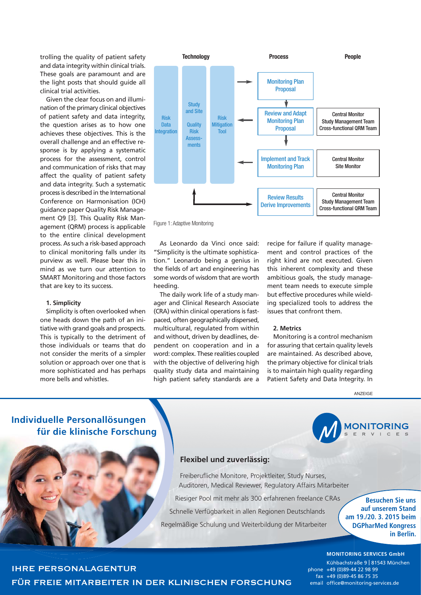trolling the quality of patient safety and data integrity within clinical trials. These goals are paramount and are the light posts that should guide all clinical trial activities.

Given the clear focus on and illumination of the primary clinical objectives of patient safety and data integrity, the question arises as to how one achieves these objectives. This is the overall challenge and an effective response is by applying a systematic process for the assessment, control and communication of risks that may affect the quality of patient safety and data integrity. Such a systematic process is described in the International Conference on Harmonisation (ICH) guidance paper Quality Risk Management Q9 [3]. This Quality Risk Management (QRM) process is applicable to the entire clinical development process. As such a risk-based approach to clinical monitoring falls under its purview as well. Please bear this in mind as we turn our attention to SMART Monitoring and those factors that are key to its success.

# **1. Simplicity**

Simplicity is often overlooked when one heads down the path of an initiative with grand goals and prospects. This is typically to the detriment of those individuals or teams that do not consider the merits of a simpler solution or approach over one that is more sophisticated and has perhaps more bells and whistles.



Figure 1: Adaptive Monitoring

As Leonardo da Vinci once said: "Simplicity is the ultimate sophistication." Leonardo being a genius in the fields of art and engineering has some words of wisdom that are worth heeding.

The daily work life of a study manager and Clinical Research Associate (CRA) within clinical operations is fastpaced, often geographically dispersed, multicultural, regulated from within and without, driven by deadlines, dependent on cooperation and in a word: complex. These realities coupled with the objective of delivering high quality study data and maintaining high patient safety standards are a

recipe for failure if quality management and control practices of the right kind are not executed. Given this inherent complexity and these ambitious goals, the study management team needs to execute simple but effective procedures while wielding specialized tools to address the issues that confront them.

# **2. Metrics**

Monitoring is a control mechanism for assuring that certain quality levels are maintained. As described above, the primary objective for clinical trials is to maintain high quality regarding Patient Safety and Data Integrity. In

#### ANZEIGE



# **Flexibel und zuverlässig:**

Freiberufliche Monitore, Projektleiter, Study Nurses, Auditoren, Medical Reviewer, Regulatory Affairs Mitarbeiter

Riesiger Pool mit mehr als 300 erfahrenen freelance CRAs Schnelle Verfügbarkeit in allen Regionen Deutschlands Regelmäßige Schulung und Weiterbildung der Mitarbeiter

**Besuchen Sie uns auf unserem Stand am 19./20. 3. 2015 beim DGPharMed Kongress in Berlin.**

**IONITORING** 

#### **FORSCHUNG** email office@monitoring-services.de **MONITORING SERVICES GmbH** Kühbachstraße 9 I 81543 München phone +49 (0)89-44 22 98 99 fax +49 (0)89-45 86 75 35

IHRE PERSONALAGENTUR FÜR FREIE MITARBEITER IN DER KLINISCHEN FORSCHUNG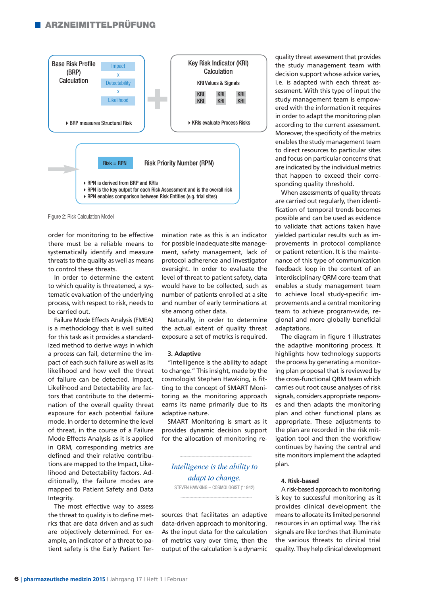# **ARZNEIMITTELPRÜFUNG**



Figure 2: Risk Calculation Model

order for monitoring to be effective there must be a reliable means to systematically identify and measure threats to the quality as well as means to control these threats.

In order to determine the extent to which quality is threatened, a systematic evaluation of the underlying process, with respect to risk, needs to be carried out.

Failure Mode Effects Analysis (FMEA) is a methodology that is well suited for this task as it provides a standardized method to derive ways in which a process can fail, determine the impact of each such failure as well as its likelihood and how well the threat of failure can be detected. Impact, Likelihood and Detectability are factors that contribute to the determination of the overall quality threat exposure for each potential failure mode. In order to determine the level of threat, in the course of a Failure Mode Effects Analysis as it is applied in QRM, corresponding metrics are defined and their relative contributions are mapped to the Impact, Likelihood and Detectability factors. Additionally, the failure modes are mapped to Patient Safety and Data Integrity.

The most effective way to assess the threat to quality is to define metrics that are data driven and as such are objectively determined. For example, an indicator of a threat to patient safety is the Early Patient Termination rate as this is an indicator for possible inadequate site management, safety management, lack of protocol adherence and investigator oversight. In order to evaluate the level of threat to patient safety, data would have to be collected, such as number of patients enrolled at a site and number of early terminations at site among other data.

Naturally, in order to determine the actual extent of quality threat exposure a set of metrics is required.

### **3. Adaptive**

"Intelligence is the ability to adapt to change." This insight, made by the cosmologist Stephen Hawking, is fitting to the concept of SMART Monitoring as the monitoring approach earns its name primarily due to its adaptive nature.

SMART Monitoring is smart as it provides dynamic decision support for the allocation of monitoring re-

*Intelligence is the ability to adapt to change.* STEVEN HAWKING – COSMOLOGIST (\*1942)

sources that facilitates an adaptive data-driven approach to monitoring. As the input data for the calculation of metrics vary over time, then the output of the calculation is a dynamic quality threat assessment that provides the study management team with decision support whose advice varies, i.e. is adapted with each threat assessment. With this type of input the study management team is empowered with the information it requires in order to adapt the monitoring plan according to the current assessment. Moreover, the specificity of the metrics enables the study management team to direct resources to particular sites and focus on particular concerns that are indicated by the individual metrics that happen to exceed their corresponding quality threshold.

When assessments of quality threats are carried out regularly, then identification of temporal trends becomes possible and can be used as evidence to validate that actions taken have yielded particular results such as improvements in protocol compliance or patient retention. It is the maintenance of this type of communication feedback loop in the context of an interdisciplinary QRM core-team that enables a study management team to achieve local study-specific improvements and a central monitoring team to achieve program-wide, regional and more globally beneficial adaptations.

The diagram in figure 1 illustrates the adaptive monitoring process. It highlights how technology supports the process by generating a monitoring plan proposal that is reviewed by the cross-functional QRM team which carries out root cause analyses of risk signals, considers appropriate responses and then adapts the monitoring plan and other functional plans as appropriate. These adjustments to the plan are recorded in the risk mitigation tool and then the workflow continues by having the central and site monitors implement the adapted plan.

# **4. Risk-based**

A risk-based approach to monitoring is key to successful monitoring as it provides clinical development the means to allocate its limited personnel resources in an optimal way. The risk signals are like torches that illuminate the various threats to clinical trial quality. They help clinical development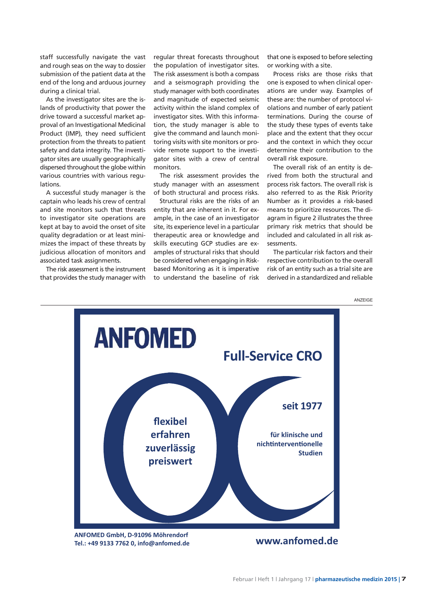staff successfully navigate the vast and rough seas on the way to dossier submission of the patient data at the end of the long and arduous journey during a clinical trial.

As the investigator sites are the islands of productivity that power the drive toward a successful market approval of an Investigational Medicinal Product (IMP), they need sufficient protection from the threats to patient safety and data integrity. The investigator sites are usually geographically dispersed throughout the globe within various countries with various regulations.

A successful study manager is the captain who leads his crew of central and site monitors such that threats to investigator site operations are kept at bay to avoid the onset of site quality degradation or at least minimizes the impact of these threats by judicious allocation of monitors and associated task assignments.

The risk assessment is the instrument that provides the study manager with

regular threat forecasts throughout the population of investigator sites. The risk assessment is both a compass and a seismograph providing the study manager with both coordinates and magnitude of expected seismic activity within the island complex of investigator sites. With this information, the study manager is able to give the command and launch monitoring visits with site monitors or provide remote support to the investigator sites with a crew of central monitors.

The risk assessment provides the study manager with an assessment of both structural and process risks.

Structural risks are the risks of an entity that are inherent in it. For example, in the case of an investigator site, its experience level in a particular therapeutic area or knowledge and skills executing GCP studies are examples of structural risks that should be considered when engaging in Riskbased Monitoring as it is imperative to understand the baseline of risk

that one is exposed to before selecting or working with a site.

Process risks are those risks that one is exposed to when clinical operations are under way. Examples of these are: the number of protocol violations and number of early patient terminations. During the course of the study these types of events take place and the extent that they occur and the context in which they occur determine their contribution to the overall risk exposure.

The overall risk of an entity is derived from both the structural and process risk factors. The overall risk is also referred to as the Risk Priority Number as it provides a risk-based means to prioritize resources. The diagram in figure 2 illustrates the three primary risk metrics that should be included and calculated in all risk assessments.

The particular risk factors and their respective contribution to the overall risk of an entity such as a trial site are derived in a standardized and reliable

ANZEIGE



**definitional different in the control of the control of the control of the control of the control of the control of the control of the control of the control of the control of the control of the control of the control of**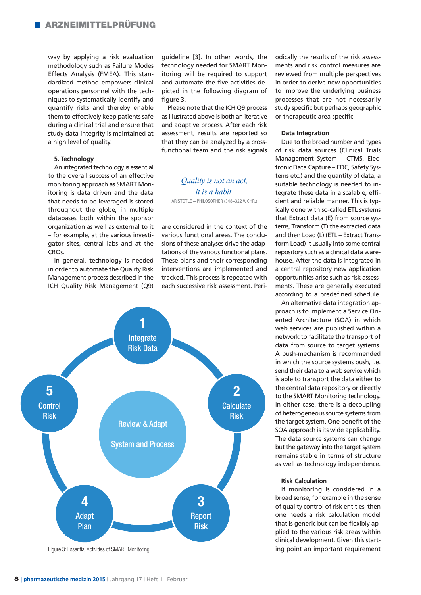way by applying a risk evaluation methodology such as Failure Modes Effects Analysis (FMEA). This standardized method empowers clinical operations personnel with the techniques to systematically identify and quantify risks and thereby enable them to effectively keep patients safe during a clinical trial and ensure that study data integrity is maintained at a high level of quality.

# **5. Technology**

An integrated technology is essential to the overall success of an effective monitoring approach as SMART Monitoring is data driven and the data that needs to be leveraged is stored throughout the globe, in multiple databases both within the sponsor organization as well as external to it – for example, at the various investigator sites, central labs and at the **CROs** 

In general, technology is needed in order to automate the Quality Risk Management process described in the ICH Quality Risk Management (Q9) guideline [3]. In other words, the technology needed for SMART Monitoring will be required to support and automate the five activities depicted in the following diagram of figure 3.

Please note that the ICH Q9 process as illustrated above is both an iterative and adaptive process. After each risk assessment, results are reported so that they can be analyzed by a crossfunctional team and the risk signals

*Quality is not an act, it is a habit.* ARISTOTLE – PHILOSOPHER (348–322 V. CHR.)

are considered in the context of the various functional areas. The conclusions of these analyses drive the adaptations of the various functional plans. These plans and their corresponding interventions are implemented and tracked. This process is repeated with each successive risk assessment. Peri-



odically the results of the risk assessments and risk control measures are reviewed from multiple perspectives in order to derive new opportunities to improve the underlying business processes that are not necessarily study specific but perhaps geographic or therapeutic area specific.

# **Data Integration**

Due to the broad number and types of risk data sources (Clinical Trials Management System – CTMS, Electronic Data Capture – EDC, Safety Systems etc.) and the quantity of data, a suitable technology is needed to integrate these data in a scalable, efficient and reliable manner. This is typically done with so-called ETL systems that Extract data (E) from source systems, Transform (T) the extracted data and then Load (L) (ETL – Extract Transform Load) it usually into some central repository such as a clinical data warehouse. After the data is integrated in a central repository new application opportunities arise such as risk assessments. These are generally executed according to a predefined schedule.

An alternative data integration approach is to implement a Service Oriented Architecture (SOA) in which web services are published within a network to facilitate the transport of data from source to target systems. A push-mechanism is recommended in which the source systems push, i.e. send their data to a web service which is able to transport the data either to the central data repository or directly to the SMART Monitoring technology. In either case, there is a decoupling of heterogeneous source systems from the target system. One benefit of the SOA approach is its wide applicability. The data source systems can change but the gateway into the target system remains stable in terms of structure as well as technology independence.

# **Risk Calculation**

If monitoring is considered in a broad sense, for example in the sense of quality control of risk entities, then one needs a risk calculation model that is generic but can be flexibly applied to the various risk areas within clinical development. Given this starting point an important requirement